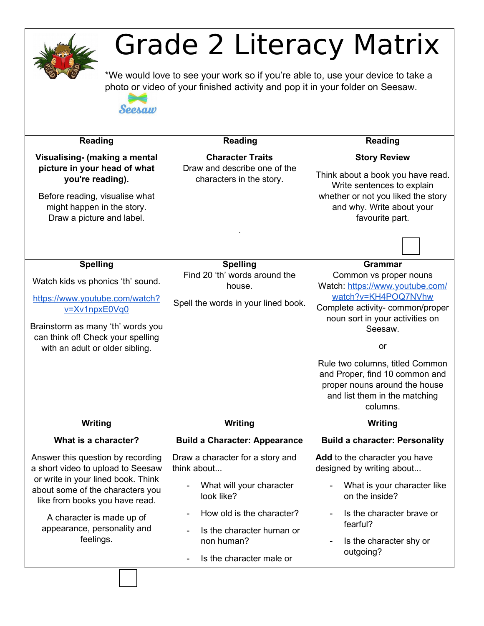

## Grade 2 Literacy Matrix

\*We would love to see your work so if you're able to, use your device to take a photo or video of your finished activity and pop it in your folder on Seesaw.

Seesaw

| <b>Reading</b>                                                                                                                                                                 | <b>Reading</b>                                                                      | <b>Reading</b>                                                                                                                                                               |
|--------------------------------------------------------------------------------------------------------------------------------------------------------------------------------|-------------------------------------------------------------------------------------|------------------------------------------------------------------------------------------------------------------------------------------------------------------------------|
|                                                                                                                                                                                |                                                                                     |                                                                                                                                                                              |
| Visualising- (making a mental<br>picture in your head of what<br>you're reading).<br>Before reading, visualise what<br>might happen in the story.<br>Draw a picture and label. | <b>Character Traits</b><br>Draw and describe one of the<br>characters in the story. | <b>Story Review</b><br>Think about a book you have read.<br>Write sentences to explain<br>whether or not you liked the story<br>and why. Write about your<br>favourite part. |
| <b>Spelling</b>                                                                                                                                                                | <b>Spelling</b>                                                                     | <b>Grammar</b>                                                                                                                                                               |
| Watch kids vs phonics 'th' sound.                                                                                                                                              | Find 20 'th' words around the<br>house.                                             | Common vs proper nouns<br>Watch: https://www.youtube.com/                                                                                                                    |
| https://www.youtube.com/watch?<br>v=Xv1npxE0Vq0                                                                                                                                | Spell the words in your lined book.                                                 | watch?v=KH4POQ7NVhw<br>Complete activity- common/proper<br>noun sort in your activities on                                                                                   |
| Brainstorm as many 'th' words you<br>can think of! Check your spelling                                                                                                         |                                                                                     | Seesaw.                                                                                                                                                                      |
| with an adult or older sibling.                                                                                                                                                |                                                                                     | or                                                                                                                                                                           |
|                                                                                                                                                                                |                                                                                     | Rule two columns, titled Common<br>and Proper, find 10 common and<br>proper nouns around the house<br>and list them in the matching<br>columns.                              |
| Writing                                                                                                                                                                        | Writing                                                                             | Writing                                                                                                                                                                      |
| What is a character?                                                                                                                                                           | <b>Build a Character: Appearance</b>                                                | <b>Build a character: Personality</b>                                                                                                                                        |
| Answer this question by recording<br>a short video to upload to Seesaw                                                                                                         | Draw a character for a story and<br>think about                                     | Add to the character you have<br>designed by writing about                                                                                                                   |
| or write in your lined book. Think<br>about some of the characters you<br>like from books you have read.                                                                       | What will your character<br>look like?                                              | What is your character like<br>on the inside?                                                                                                                                |
| A character is made up of                                                                                                                                                      | How old is the character?                                                           | Is the character brave or<br>fearful?                                                                                                                                        |
| appearance, personality and<br>feelings.                                                                                                                                       | Is the character human or<br>non human?                                             | Is the character shy or                                                                                                                                                      |
|                                                                                                                                                                                | Is the character male or                                                            | outgoing?                                                                                                                                                                    |